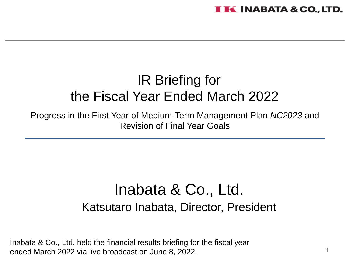# IR Briefing for the Fiscal Year Ended March 2022

Progress in the First Year of Medium-Term Management Plan *NC2023* and Revision of Final Year Goals

# Inabata & Co., Ltd. Katsutaro Inabata, Director, President

Inabata & Co., Ltd. held the financial results briefing for the fiscal year ended March 2022 via live broadcast on June 8, 2022.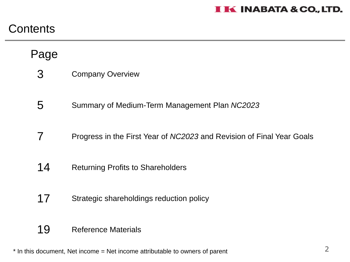## **Contents**

## Page

- Company Overview 3
- Summary of Medium-Term Management Plan *NC2023* 5
- Progress in the First Year of *NC2023* and Revision of Final Year Goals 7
- Returning Profits to Shareholders 14
- Strategic shareholdings reduction policy 17
- Reference Materials 19

\* In this document, Net income = Net income attributable to owners of parent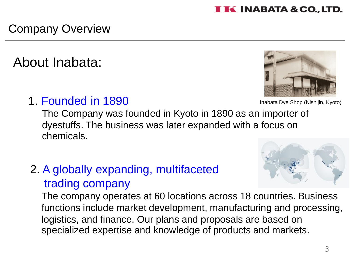# Company Overview

# About Inabata:

# 1. Founded in 1890

The Company was founded in Kyoto in 1890 as an importer of dyestuffs. The business was later expanded with a focus on chemicals.

# 2. A globally expanding, multifaceted trading company

The company operates at 60 locations across 18 countries. Business functions include market development, manufacturing and processing, logistics, and finance. Our plans and proposals are based on specialized expertise and knowledge of products and markets.

Inabata Dye Shop (Nishijin, Kyoto)



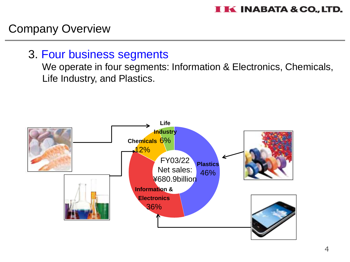### Company Overview

#### 3. Four business segments

We operate in four segments: Information & Electronics, Chemicals, Life Industry, and Plastics.

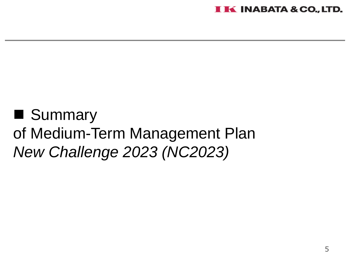

# ■ Summary of Medium-Term Management Plan *New Challenge 2023 (NC2023)*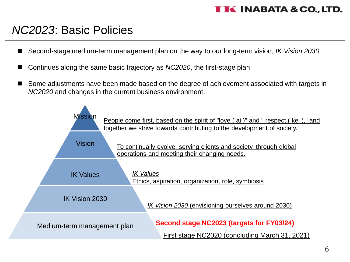## *NC2023*: Basic Policies

- ◼ Second-stage medium-term management plan on the way to our long-term vision, *IK Vision 2030*
- ◼ Continues along the same basic trajectory as *NC2020*, the first-stage plan
- Some adjustments have been made based on the degree of achievement associated with targets in *NC2020* and changes in the current business environment.

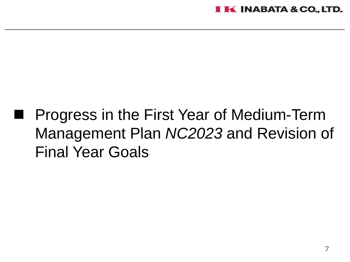# ◼ Progress in the First Year of Medium-Term Management Plan *NC2023* and Revision of Final Year Goals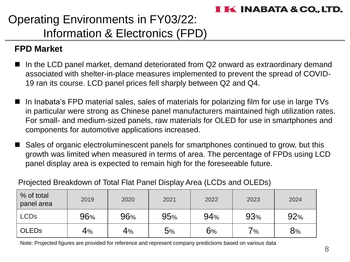# Operating Environments in FY03/22: Information & Electronics (FPD)

#### **FPD Market**

- In the LCD panel market, demand deteriorated from Q2 onward as extraordinary demand associated with shelter-in-place measures implemented to prevent the spread of COVID-19 ran its course. LCD panel prices fell sharply between Q2 and Q4.
- In Inabata's FPD material sales, sales of materials for polarizing film for use in large TVs in particular were strong as Chinese panel manufacturers maintained high utilization rates. For small- and medium-sized panels, raw materials for OLED for use in smartphones and components for automotive applications increased.
- Sales of organic electroluminescent panels for smartphones continued to grow, but this growth was limited when measured in terms of area. The percentage of FPDs using LCD panel display area is expected to remain high for the foreseeable future.

Projected Breakdown of Total Flat Panel Display Area (LCDs and OLEDs)

| % of total<br>panel area | 2019 | 2020 | 2021 | 2022 | 2023     | 2024 |
|--------------------------|------|------|------|------|----------|------|
| <b>LCDs</b>              | 96%  | 96%  | 95%  | 94%  | 93%      | 92%  |
| <b>OLEDS</b>             | 4%   | 4%   | 5%   | 6%   | $7_{\%}$ | 8%   |

Note: Projected figures are provided for reference and represent company predictions based on various data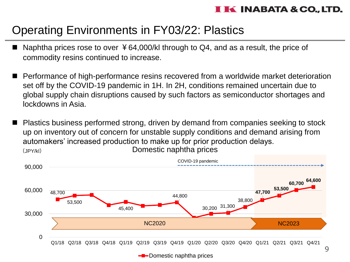# Operating Environments in FY03/22: Plastics

- Naphtha prices rose to over  $\frac{1}{2}64,000/k$  through to Q4, and as a result, the price of commodity resins continued to increase.
- ◼ Performance of high-performance resins recovered from a worldwide market deterioration set off by the COVID-19 pandemic in 1H. In 2H, conditions remained uncertain due to global supply chain disruptions caused by such factors as semiconductor shortages and lockdowns in Asia.
- Domestic naphtha prices (JPY/kl) Plastics business performed strong, driven by demand from companies seeking to stock up on inventory out of concern for unstable supply conditions and demand arising from automakers' increased production to make up for prior production delays.

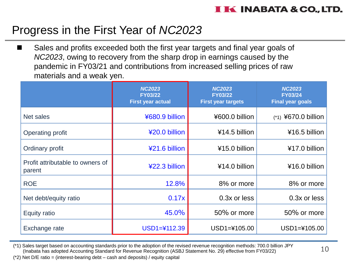## Progress in the First Year of *NC2023*

■ Sales and profits exceeded both the first year targets and final year goals of *NC2023*, owing to recovery from the sharp drop in earnings caused by the pandemic in FY03/21 and contributions from increased selling prices of raw materials and a weak yen.

|                                            | <b>NC2023</b><br><b>FY03/22</b><br><b>First year actual</b> | <b>NC2023</b><br><b>FY03/22</b><br><b>First year targets</b> | <b>NC2023</b><br><b>FY03/24</b><br><b>Final year goals</b> |
|--------------------------------------------|-------------------------------------------------------------|--------------------------------------------------------------|------------------------------------------------------------|
| Net sales                                  | ¥680.9 billion                                              | ¥600.0 billion                                               | $(*1)$ ¥670.0 billion                                      |
| Operating profit                           | ¥20.0 billion                                               | ¥14.5 billion                                                | ¥16.5 billion                                              |
| Ordinary profit                            | ¥21.6 billion                                               | ¥15.0 billion                                                | ¥17.0 billion                                              |
| Profit attributable to owners of<br>parent | ¥22.3 billion                                               | ¥14.0 billion                                                | ¥16.0 billion                                              |
| <b>ROE</b>                                 | 12.8%                                                       | 8% or more                                                   | 8% or more                                                 |
| Net debt/equity ratio                      | 0.17x                                                       | 0.3x or less                                                 | $0.3x$ or less                                             |
| <b>Equity ratio</b>                        | 45.0%                                                       | 50% or more                                                  | 50% or more                                                |
| Exchange rate                              | $USD1 = 4112.39$                                            | USD1=¥105.00                                                 | USD1=¥105.00                                               |

(\*1) Sales target based on accounting standards prior to the adoption of the revised revenue recognition methods: 700.0 billion JPY (Inabata has adopted Accounting Standard for Revenue Recognition (ASBJ Statement No. 29) effective from FY03/22)

(\*2) Net D/E ratio = (interest-bearing debt – cash and deposits) / equity capital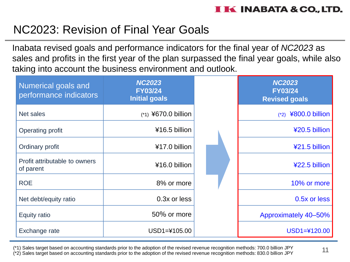# NC2023: Revision of Final Year Goals

Inabata revised goals and performance indicators for the final year of *NC2023* as sales and profits in the first year of the plan surpassed the final year goals, while also taking into account the business environment and outlook.

| Numerical goals and<br>performance indicators | <b>NC2023</b><br><b>FY03/24</b><br><b>Initial goals</b> | <b>NC2023</b><br><b>FY03/24</b><br><b>Revised goals</b> |
|-----------------------------------------------|---------------------------------------------------------|---------------------------------------------------------|
| Net sales                                     | $(*1)$ ¥670.0 billion                                   | ¥800.0 billion<br>$(*2)$                                |
| Operating profit                              | ¥16.5 billion                                           | ¥20.5 billion                                           |
| Ordinary profit                               | ¥17.0 billion                                           | ¥21.5 billion                                           |
| Profit attributable to owners<br>of parent    | ¥16.0 billion                                           | ¥22.5 billion                                           |
| <b>ROE</b>                                    | 8% or more                                              | 10% or more                                             |
| Net debt/equity ratio                         | 0.3x or less                                            | 0.5x or less                                            |
| Equity ratio                                  | 50% or more                                             | Approximately 40-50%                                    |
| Exchange rate                                 | USD1=¥105.00                                            | $USD1 = 4120.00$                                        |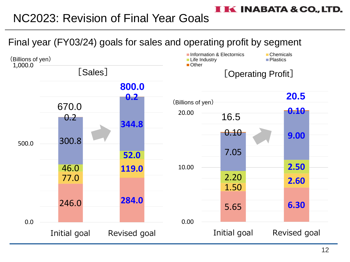# NC2023: Revision of Final Year Goals



**IK INABATA & CO., LTD.**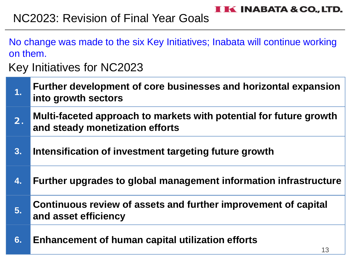# NC2023: Revision of Final Year Goals

- No change was made to the six Key Initiatives; Inabata will continue working on them.
- Key Initiatives for NC2023

| $\overline{1}$ . | Further development of core businesses and horizontal expansion<br>into growth sectors                |
|------------------|-------------------------------------------------------------------------------------------------------|
| 2.               | Multi-faceted approach to markets with potential for future growth<br>and steady monetization efforts |
| 3.               | Intensification of investment targeting future growth                                                 |
| 4.               | Further upgrades to global management information infrastructure                                      |
| 5.               | Continuous review of assets and further improvement of capital<br>and asset efficiency                |
| 6.               | Enhancement of human capital utilization efforts<br>13                                                |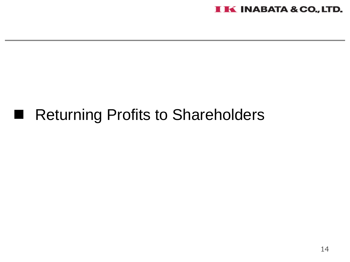

# ■ Returning Profits to Shareholders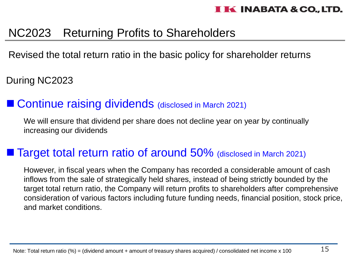# NC2023 Returning Profits to Shareholders

Revised the total return ratio in the basic policy for shareholder returns

During NC2023

### ■ Continue raising dividends (disclosed in March 2021)

We will ensure that dividend per share does not decline year on year by continually increasing our dividends

## ■ Target total return ratio of around 50% (disclosed in March 2021)

However, in fiscal years when the Company has recorded a considerable amount of cash inflows from the sale of strategically held shares, instead of being strictly bounded by the target total return ratio, the Company will return profits to shareholders after comprehensive consideration of various factors including future funding needs, financial position, stock price, and market conditions.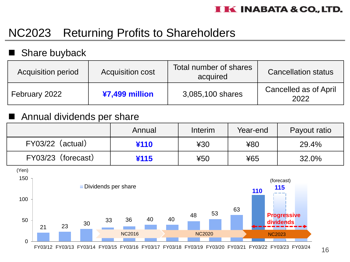# NC2023 Returning Profits to Shareholders

#### Share buyback

| Acquisition period | <b>Acquisition cost</b> | Total number of shares<br>acquired | <b>Cancellation status</b>           |
|--------------------|-------------------------|------------------------------------|--------------------------------------|
| February 2022      | $47,499$ million        | 3,085,100 shares                   | <b>Cancelled as of April</b><br>2022 |

#### ■ Annual dividends per share

|                       | Annual | Interim | Year-end | Payout ratio |
|-----------------------|--------|---------|----------|--------------|
| $FY03/22$ (actual)    | ¥110   | ¥30     | ¥80      | 29.4%        |
| FY03/23<br>(forecast) | 4115   | ¥50     | ¥65      | 32.0%        |

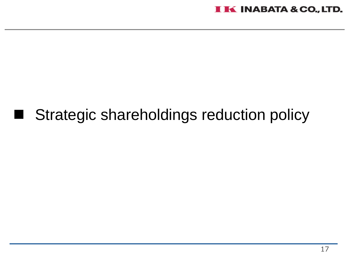# ■ Strategic shareholdings reduction policy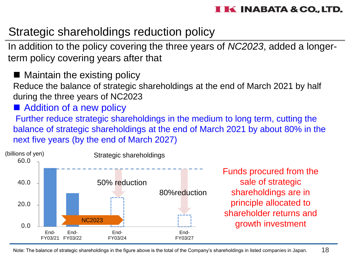## Strategic shareholdings reduction policy

In addition to the policy covering the three years of *NC2023*, added a longerterm policy covering years after that

■ Maintain the existing policy Reduce the balance of strategic shareholdings at the end of March 2021 by half during the three years of NC2023

■ Addition of a new policy

Further reduce strategic shareholdings in the medium to long term, cutting the balance of strategic shareholdings at the end of March 2021 by about 80% in the next five years (by the end of March 2027)



Funds procured from the sale of strategic shareholdings are in principle allocated to shareholder returns and growth investment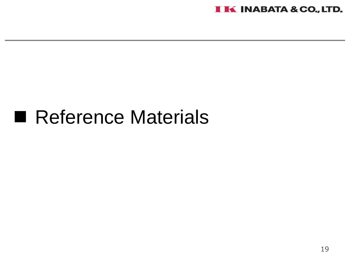

# ■ Reference Materials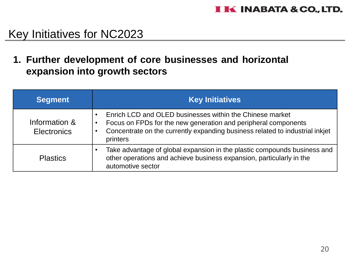**1. Further development of core businesses and horizontal expansion into growth sectors**

| <b>Segment</b>                      | <b>Key Initiatives</b>                                                                                                                                                                                                 |
|-------------------------------------|------------------------------------------------------------------------------------------------------------------------------------------------------------------------------------------------------------------------|
| Information &<br><b>Electronics</b> | Enrich LCD and OLED businesses within the Chinese market<br>Focus on FPDs for the new generation and peripheral components<br>Concentrate on the currently expanding business related to industrial inkjet<br>printers |
| <b>Plastics</b>                     | Take advantage of global expansion in the plastic compounds business and<br>other operations and achieve business expansion, particularly in the<br>automotive sector                                                  |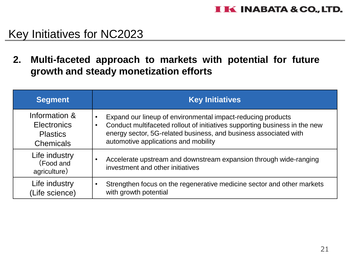**2. Multi-faceted approach to markets with potential for future growth and steady monetization efforts**

| <b>Segment</b>                                                             | <b>Key Initiatives</b>                                                                                                                                                                                                                                             |
|----------------------------------------------------------------------------|--------------------------------------------------------------------------------------------------------------------------------------------------------------------------------------------------------------------------------------------------------------------|
| Information &<br><b>Electronics</b><br><b>Plastics</b><br><b>Chemicals</b> | Expand our lineup of environmental impact-reducing products<br>$\bullet$<br>Conduct multifaceted rollout of initiatives supporting business in the new<br>energy sector, 5G-related business, and business associated with<br>automotive applications and mobility |
| Life industry<br>(Food and<br>agriculture)                                 | Accelerate upstream and downstream expansion through wide-ranging<br>investment and other initiatives                                                                                                                                                              |
| Life industry<br>(Life science)                                            | Strengthen focus on the regenerative medicine sector and other markets<br>with growth potential                                                                                                                                                                    |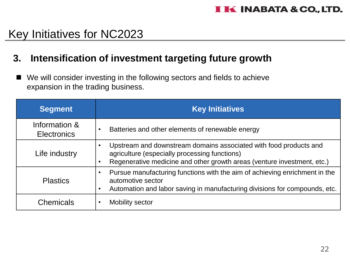#### **3. Intensification of investment targeting future growth**

We will consider investing in the following sectors and fields to achieve expansion in the trading business.

| <b>Segment</b>                      | <b>Key Initiatives</b>                                                                                                                                                                        |
|-------------------------------------|-----------------------------------------------------------------------------------------------------------------------------------------------------------------------------------------------|
| Information &<br><b>Electronics</b> | Batteries and other elements of renewable energy                                                                                                                                              |
| Life industry                       | Upstream and downstream domains associated with food products and<br>agriculture (especially processing functions)<br>Regenerative medicine and other growth areas (venture investment, etc.) |
| <b>Plastics</b>                     | Pursue manufacturing functions with the aim of achieving enrichment in the<br>automotive sector<br>Automation and labor saving in manufacturing divisions for compounds, etc.                 |
| <b>Chemicals</b>                    | Mobility sector                                                                                                                                                                               |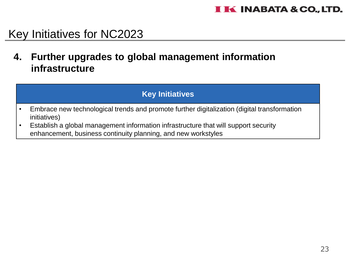**4. Further upgrades to global management information infrastructure**

#### **Key Initiatives**

- Embrace new technological trends and promote further digitalization (digital transformation initiatives)
- Establish a global management information infrastructure that will support security enhancement, business continuity planning, and new workstyles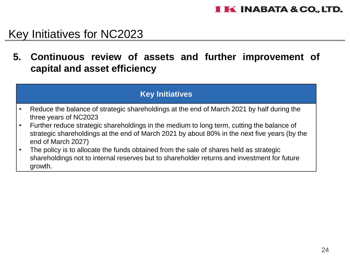**5. Continuous review of assets and further improvement of capital and asset efficiency**

#### **Key Initiatives**

- Reduce the balance of strategic shareholdings at the end of March 2021 by half during the three years of NC2023
- Further reduce strategic shareholdings in the medium to long term, cutting the balance of strategic shareholdings at the end of March 2021 by about 80% in the next five years (by the end of March 2027)
- The policy is to allocate the funds obtained from the sale of shares held as strategic shareholdings not to internal reserves but to shareholder returns and investment for future growth.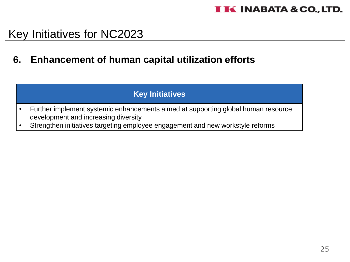#### **6. Enhancement of human capital utilization efforts**

#### **Key Initiatives**

- Further implement systemic enhancements aimed at supporting global human resource development and increasing diversity
- Strengthen initiatives targeting employee engagement and new workstyle reforms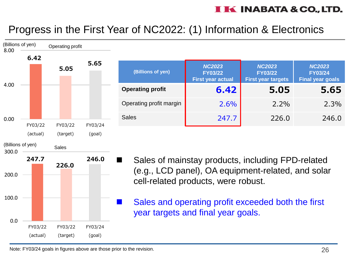### Progress in the First Year of NC2022: (1) Information & Electronics



| (Billions of yen)       | <b>NC2023</b><br><b>FY03/22</b><br><b>First year actual</b> | <b>NC2023</b><br><b>FY03/22</b><br><b>First year targets</b> | <b>NC2023</b><br><b>FY03/24</b><br><b>Final year goals</b> |
|-------------------------|-------------------------------------------------------------|--------------------------------------------------------------|------------------------------------------------------------|
| <b>Operating profit</b> | 6.42                                                        | 5.05                                                         | 5.65                                                       |
| Operating profit margin | 2.6%                                                        | $2.2\%$                                                      | 2.3%                                                       |
| <b>Sales</b>            | 247.7                                                       | 226.0                                                        | 246.0                                                      |

- Sales of mainstay products, including FPD-related (e.g., LCD panel), OA equipment-related, and solar cell-related products, were robust.
- Sales and operating profit exceeded both the first year targets and final year goals.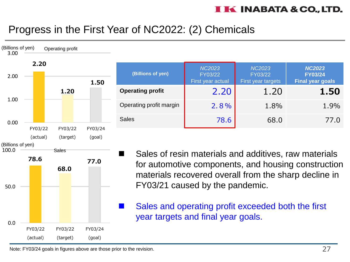### Progress in the First Year of NC2022: (2) Chemicals



| <b>NC2023</b><br>FY03/22<br>First year actual | <b>NC2023</b><br>FY03/22<br>First year targets | <b>NC2023</b><br><b>FY03/24</b><br><b>Final year goals</b> |
|-----------------------------------------------|------------------------------------------------|------------------------------------------------------------|
| 2.20                                          | 1.20                                           | 1.50                                                       |
| 2.8%                                          | 1.8%                                           | 1.9%                                                       |
| 78.6                                          | 68.0                                           | 77.0                                                       |
|                                               |                                                |                                                            |

Sales of resin materials and additives, raw materials for automotive components, and housing construction materials recovered overall from the sharp decline in FY03/21 caused by the pandemic.

Sales and operating profit exceeded both the first year targets and final year goals.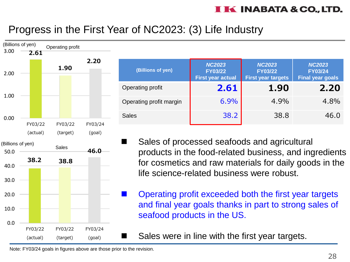### Progress in the First Year of NC2023: (3) Life Industry



| (Billions of yen)       | <b>NC2023</b><br><b>FY03/22</b><br><b>First year actual</b> | <b>NC2023</b><br><b>FY03/22</b><br><b>First year targets</b> | <b>NC2023</b><br><b>FY03/24</b><br><b>Final year goals</b> |
|-------------------------|-------------------------------------------------------------|--------------------------------------------------------------|------------------------------------------------------------|
| Operating profit        | 2.61                                                        | 1.90                                                         | 2.20                                                       |
| Operating profit margin | 6.9%                                                        | 4.9%                                                         | 4.8%                                                       |
| <b>Sales</b>            | 38.2                                                        | 38.8                                                         | 46.0                                                       |

- Sales of processed seafoods and agricultural products in the food-related business, and ingredients for cosmetics and raw materials for daily goods in the life science-related business were robust.
	- ◼ Operating profit exceeded both the first year targets and final year goals thanks in part to strong sales of seafood products in the US.

Sales were in line with the first year targets.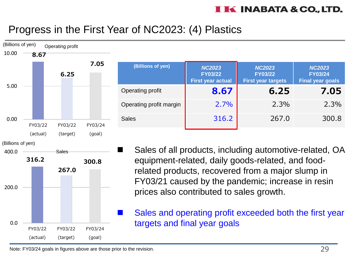### Progress in the First Year of NC2023: (4) Plastics



| 7.05   | (Billions of yen)       | <b>NC2023</b><br><b>FY03/22</b><br><b>First year actual</b> | <b>NC2023</b><br><b>FY03/22</b><br><b>First year targets</b> | <b>NC2023</b><br><b>FY03/24</b><br><b>Final year goals</b> |
|--------|-------------------------|-------------------------------------------------------------|--------------------------------------------------------------|------------------------------------------------------------|
|        | Operating profit        | 8.67                                                        | 6.25                                                         | 7.05                                                       |
|        | Operating profit margin | 2.7%                                                        | 2.3%                                                         | 2.3%                                                       |
| 603/24 | <b>Sales</b>            | 316.2                                                       | 267.0                                                        | 300.8                                                      |
|        |                         |                                                             |                                                              |                                                            |

Sales of all products, including automotive-related, OA equipment-related, daily goods-related, and foodrelated products, recovered from a major slump in FY03/21 caused by the pandemic; increase in resin prices also contributed to sales growth.

Sales and operating profit exceeded both the first year targets and final year goals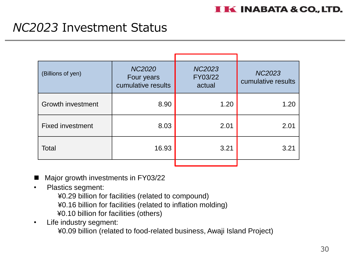# *NC2023* Investment Status

| (Billions of yen)        | <b>NC2020</b><br>Four years<br>cumulative results | <b>NC2023</b><br>FY03/22<br>actual | <b>NC2023</b><br>cumulative results |
|--------------------------|---------------------------------------------------|------------------------------------|-------------------------------------|
| <b>Growth investment</b> | 8.90                                              | 1.20                               | 1.20                                |
| <b>Fixed investment</b>  | 8.03                                              | 2.01                               | 2.01                                |
| Total                    | 16.93                                             | 3.21                               | 3.21                                |
|                          |                                                   |                                    |                                     |

- Major growth investments in FY03/22
- Plastics segment:
	- ¥0.29 billion for facilities (related to compound)
	- ¥0.16 billion for facilities (related to inflation molding)
	- ¥0.10 billion for facilities (others)
- Life industry segment:
	- ¥0.09 billion (related to food-related business, Awaji Island Project)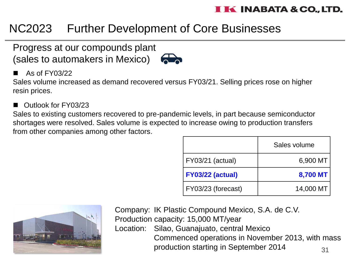# NC2023 Further Development of Core Businesses

#### Progress at our compounds plant (sales to automakers in Mexico)



#### ◼ As of FY03/22

Sales volume increased as demand recovered versus FY03/21. Selling prices rose on higher resin prices.

◼ Outlook for FY03/23

Sales to existing customers recovered to pre-pandemic levels, in part because semiconductor shortages were resolved. Sales volume is expected to increase owing to production transfers from other companies among other factors.

|                    | Sales volume |
|--------------------|--------------|
| FY03/21 (actual)   | 6,900 MT     |
| FY03/22 (actual)   | 8,700 MT     |
| FY03/23 (forecast) | 14,000 MT    |



31 Company: IK Plastic Compound Mexico, S.A. de C.V. Production capacity: 15,000 MT/year Location: Silao, Guanajuato, central Mexico Commenced operations in November 2013, with mass production starting in September 2014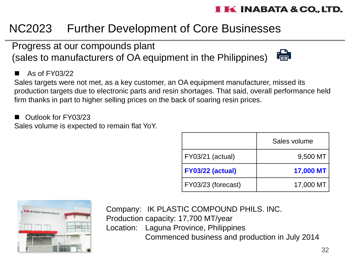# NC2023 Further Development of Core Businesses

Progress at our compounds plant (sales to manufacturers of OA equipment in the Philippines)



#### $\blacksquare$  As of FY03/22

Sales targets were not met, as a key customer, an OA equipment manufacturer, missed its production targets due to electronic parts and resin shortages. That said, overall performance held firm thanks in part to higher selling prices on the back of soaring resin prices.

◼ Outlook for FY03/23

Sales volume is expected to remain flat YoY.

|                         | Sales volume |  |
|-------------------------|--------------|--|
| FY03/21 (actual)        | 9,500 MT     |  |
| <b>FY03/22 (actual)</b> | 17,000 MT    |  |
| FY03/23 (forecast)      | 17,000 MT    |  |



Company: IK PLASTIC COMPOUND PHILS. INC. Production capacity: 17,700 MT/year Location: Laguna Province, Philippines Commenced business and production in July 2014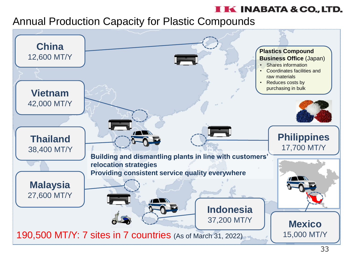#### Annual Production Capacity for Plastic Compounds

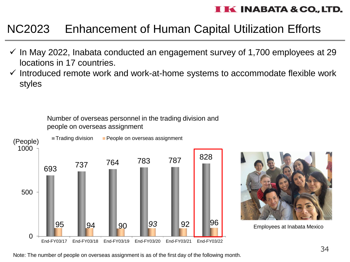# NC2023 Enhancement of Human Capital Utilization Efforts

- $\checkmark$  In May 2022, Inabata conducted an engagement survey of 1,700 employees at 29 locations in 17 countries.
- $\checkmark$  Introduced remote work and work-at-home systems to accommodate flexible work styles

Number of overseas personnel in the trading division and people on overseas assignment





Employees at Inabata Mexico

Note: The number of people on overseas assignment is as of the first day of the following month.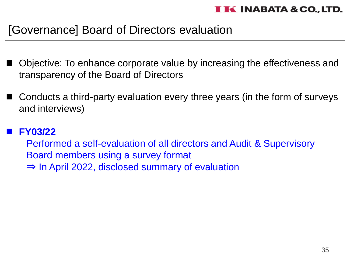# [Governance] Board of Directors evaluation

- Objective: To enhance corporate value by increasing the effectiveness and transparency of the Board of Directors
- Conducts a third-party evaluation every three years (in the form of surveys and interviews)

#### ◼ **FY03/22**

Performed a self-evaluation of all directors and Audit & Supervisory Board members using a survey format ⇒ In April 2022, disclosed summary of evaluation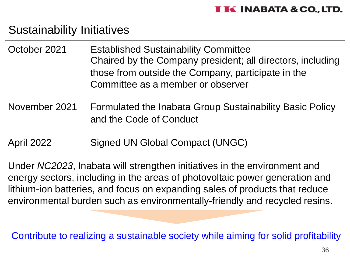### Sustainability Initiatives

- October 2021 Established Sustainability Committee Chaired by the Company president; all directors, including those from outside the Company, participate in the Committee as a member or observer
- November 2021 Formulated the Inabata Group Sustainability Basic Policy and the Code of Conduct
- April 2022 Signed UN Global Compact (UNGC)

Under *NC2023*, Inabata will strengthen initiatives in the environment and energy sectors, including in the areas of photovoltaic power generation and lithium-ion batteries, and focus on expanding sales of products that reduce environmental burden such as environmentally-friendly and recycled resins.

Contribute to realizing a sustainable society while aiming for solid profitability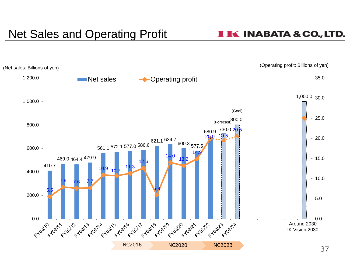# Net Sales and Operating Profit

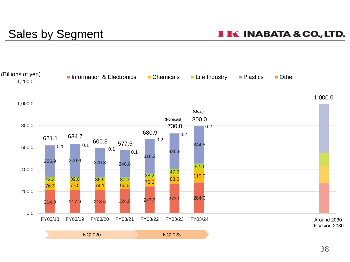# Sales by Segment

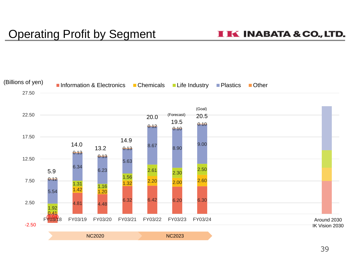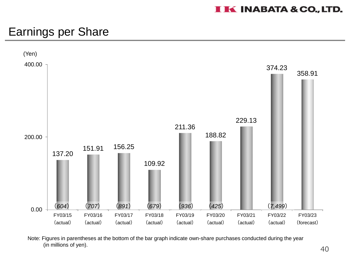## Earnings per Share



Note: Figures in parentheses at the bottom of the bar graph indicate own-share purchases conducted during the year (in millions of yen).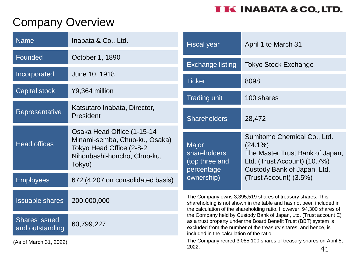# Company Overview

| <b>Name</b>                                                                                                                                             | Inabata & Co., Ltd.                       | <b>Fiscal year</b>                                                                                                                                                                                                                                    | April 1 to March 31                                                                                                                         |
|---------------------------------------------------------------------------------------------------------------------------------------------------------|-------------------------------------------|-------------------------------------------------------------------------------------------------------------------------------------------------------------------------------------------------------------------------------------------------------|---------------------------------------------------------------------------------------------------------------------------------------------|
| Founded                                                                                                                                                 | October 1, 1890                           |                                                                                                                                                                                                                                                       |                                                                                                                                             |
| Incorporated<br>June 10, 1918                                                                                                                           |                                           | <b>Exchange listing</b>                                                                                                                                                                                                                               | <b>Tokyo Stock Exchange</b>                                                                                                                 |
| <b>Capital stock</b><br>¥9,364 million                                                                                                                  |                                           | <b>Ticker</b>                                                                                                                                                                                                                                         | 8098                                                                                                                                        |
|                                                                                                                                                         |                                           | <b>Trading unit</b>                                                                                                                                                                                                                                   | 100 shares                                                                                                                                  |
| Representative                                                                                                                                          | Katsutaro Inabata, Director,<br>President | <b>Shareholders</b>                                                                                                                                                                                                                                   | 28,472                                                                                                                                      |
| Osaka Head Office (1-15-14<br>Minami-semba, Chuo-ku, Osaka)<br><b>Head offices</b><br>Tokyo Head Office (2-8-2<br>Nihonbashi-honcho, Chuo-ku,<br>Tokyo) |                                           | <b>Major</b><br><b>shareholders</b><br>(top three and<br>percentage                                                                                                                                                                                   | Sumitomo Chemical Co., Ltd.<br>$(24.1\%)$<br>The Master Trust Bank of Japan,<br>Ltd. (Trust Account) (10.7%)<br>Custody Bank of Japan, Ltd. |
| <b>Employees</b>                                                                                                                                        | 672 (4,207 on consolidated basis)         | ownership)                                                                                                                                                                                                                                            | (Trust Account) (3.5%)                                                                                                                      |
| <b>Issuable shares</b>                                                                                                                                  | 200,000,000                               | The Company owns 3,395,519 shares of treasury shares. This<br>shareholding is not shown in the table and has not been included in<br>the calculation of the shareholding ratio. However, 94,300 shares of                                             |                                                                                                                                             |
| <b>Shares issued</b><br>and outstanding                                                                                                                 | 60,799,227                                | the Company held by Custody Bank of Japan, Ltd. (Trust account E)<br>as a trust property under the Board Benefit Trust (BBT) system is<br>excluded from the number of the treasury shares, and hence, is<br>included in the calculation of the ratio. |                                                                                                                                             |
| (As of March 31, 2022)                                                                                                                                  |                                           | The Company retired 3,085,100 shares of treasury shares on April 5,<br>2022.<br>41                                                                                                                                                                    |                                                                                                                                             |